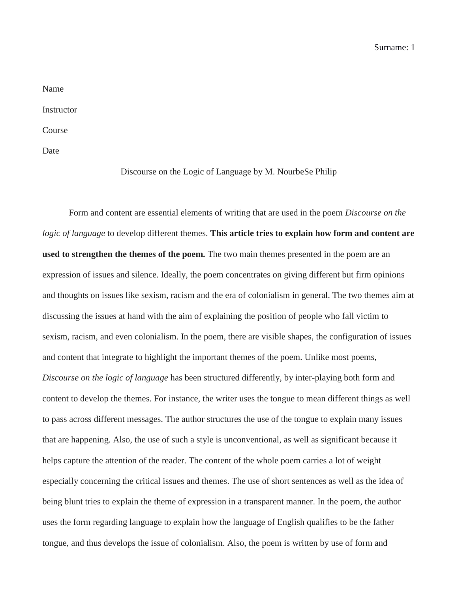Surname: 1

| Name       |  |
|------------|--|
| Instructor |  |
| Course     |  |

Date

Discourse on the Logic of Language by M. NourbeSe Philip

Form and content are essential elements of writing that are used in the poem *Discourse on the logic of language* to develop different themes. **This article tries to explain how form and content are used to strengthen the themes of the poem.** The two main themes presented in the poem are an expression of issues and silence. Ideally, the poem concentrates on giving different but firm opinions and thoughts on issues like sexism, racism and the era of colonialism in general. The two themes aim at discussing the issues at hand with the aim of explaining the position of people who fall victim to sexism, racism, and even colonialism. In the poem, there are visible shapes, the configuration of issues and content that integrate to highlight the important themes of the poem. Unlike most poems, *Discourse on the logic of language* has been structured differently, by inter-playing both form and content to develop the themes. For instance, the writer uses the tongue to mean different things as well to pass across different messages. The author structures the use of the tongue to explain many issues that are happening. Also, the use of such a style is unconventional, as well as significant because it helps capture the attention of the reader. The content of the whole poem carries a lot of weight especially concerning the critical issues and themes. The use of short sentences as well as the idea of being blunt tries to explain the theme of expression in a transparent manner. In the poem, the author uses the form regarding language to explain how the language of English qualifies to be the father tongue, and thus develops the issue of colonialism. Also, the poem is written by use of form and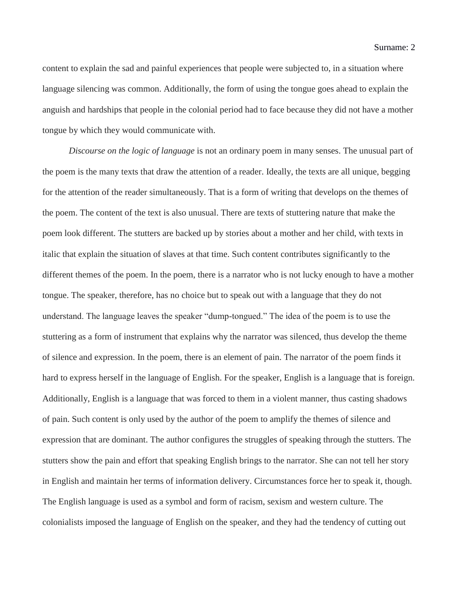content to explain the sad and painful experiences that people were subjected to, in a situation where language silencing was common. Additionally, the form of using the tongue goes ahead to explain the anguish and hardships that people in the colonial period had to face because they did not have a mother tongue by which they would communicate with.

*Discourse on the logic of language* is not an ordinary poem in many senses. The unusual part of the poem is the many texts that draw the attention of a reader. Ideally, the texts are all unique, begging for the attention of the reader simultaneously. That is a form of writing that develops on the themes of the poem. The content of the text is also unusual. There are texts of stuttering nature that make the poem look different. The stutters are backed up by stories about a mother and her child, with texts in italic that explain the situation of slaves at that time. Such content contributes significantly to the different themes of the poem. In the poem, there is a narrator who is not lucky enough to have a mother tongue. The speaker, therefore, has no choice but to speak out with a language that they do not understand. The language leaves the speaker "dump-tongued." The idea of the poem is to use the stuttering as a form of instrument that explains why the narrator was silenced, thus develop the theme of silence and expression. In the poem, there is an element of pain. The narrator of the poem finds it hard to express herself in the language of English. For the speaker, English is a language that is foreign. Additionally, English is a language that was forced to them in a violent manner, thus casting shadows of pain. Such content is only used by the author of the poem to amplify the themes of silence and expression that are dominant. The author configures the struggles of speaking through the stutters. The stutters show the pain and effort that speaking English brings to the narrator. She can not tell her story in English and maintain her terms of information delivery. Circumstances force her to speak it, though. The English language is used as a symbol and form of racism, sexism and western culture. The colonialists imposed the language of English on the speaker, and they had the tendency of cutting out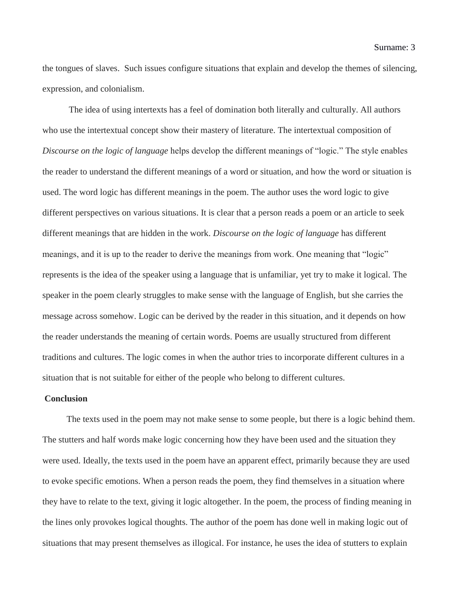the tongues of slaves. Such issues configure situations that explain and develop the themes of silencing, expression, and colonialism.

The idea of using intertexts has a feel of domination both literally and culturally. All authors who use the intertextual concept show their mastery of literature. The intertextual composition of *Discourse on the logic of language* helps develop the different meanings of "logic." The style enables the reader to understand the different meanings of a word or situation, and how the word or situation is used. The word logic has different meanings in the poem. The author uses the word logic to give different perspectives on various situations. It is clear that a person reads a poem or an article to seek different meanings that are hidden in the work. *Discourse on the logic of language* has different meanings, and it is up to the reader to derive the meanings from work. One meaning that "logic" represents is the idea of the speaker using a language that is unfamiliar, yet try to make it logical. The speaker in the poem clearly struggles to make sense with the language of English, but she carries the message across somehow. Logic can be derived by the reader in this situation, and it depends on how the reader understands the meaning of certain words. Poems are usually structured from different traditions and cultures. The logic comes in when the author tries to incorporate different cultures in a situation that is not suitable for either of the people who belong to different cultures.

## **Conclusion**

The texts used in the poem may not make sense to some people, but there is a logic behind them. The stutters and half words make logic concerning how they have been used and the situation they were used. Ideally, the texts used in the poem have an apparent effect, primarily because they are used to evoke specific emotions. When a person reads the poem, they find themselves in a situation where they have to relate to the text, giving it logic altogether. In the poem, the process of finding meaning in the lines only provokes logical thoughts. The author of the poem has done well in making logic out of situations that may present themselves as illogical. For instance, he uses the idea of stutters to explain